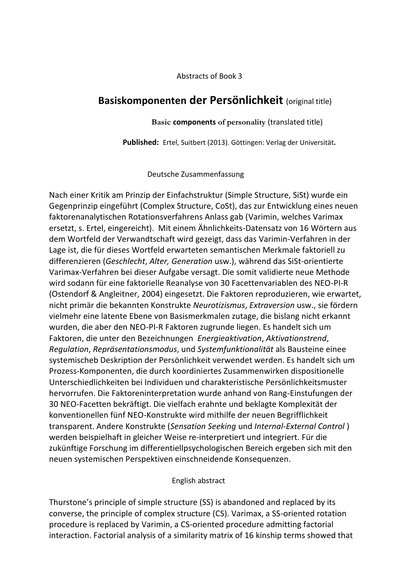Abstracts of Book 3

## **Basiskomponenten der Persönlichkeit** (original title)

## **Basic components of personality** (translated title)

**Published:** Ertel, Suitbert (2013). Göttingen: Verlag der Universität**.**

Deutsche Zusammenfassung

Nach einer Kritik am Prinzip der Einfachstruktur (Simple Structure, SiSt) wurde ein Gegenprinzip eingeführt (Complex Structure, CoSt), das zur Entwicklung eines neuen faktorenanalytischen Rotationsverfahrens Anlass gab (Varimin, welches Varimax ersetzt, s. Ertel, eingereicht). Mit einem Ähnlichkeits-Datensatz von 16 Wörtern aus dem Wortfeld der Verwandtschaft wird gezeigt, dass das Varimin-Verfahren in der Lage ist, die für dieses Wortfeld erwarteten semantischen Merkmale faktoriell zu differenzieren (*Geschlecht*, *Alter, Generation* usw.), während das SiSt-orientierte Varimax-Verfahren bei dieser Aufgabe versagt. Die somit validierte neue Methode wird sodann für eine faktorielle Reanalyse von 30 Facettenvariablen des NEO-PI-R (Ostendorf & Angleitner, 2004) eingesetzt. Die Faktoren reproduzieren, wie erwartet, nicht primär die bekannten Konstrukte *Neurotizismus*, *Extraversion* usw., sie fördern vielmehr eine latente Ebene von Basismerkmalen zutage, die bislang nicht erkannt wurden, die aber den NEO-PI-R Faktoren zugrunde liegen. Es handelt sich um Faktoren, die unter den Bezeichnungen *Energieaktivation*, *Aktivationstrend*, *Regulation*, *Repräsentationsmodus*, und *Systemfunktionalität* als Bausteine einee systemischeb Deskription der Persönlichkeit verwendet werden. Es handelt sich um Prozess-Komponenten, die durch koordiniertes Zusammenwirken dispositionelle Unterschiedlichkeiten bei Individuen und charakteristische Persönlichkeitsmuster hervorrufen. Die Faktoreninterpretation wurde anhand von Rang-Einstufungen der 30 NEO-Facetten bekräftigt. Die vielfach erahnte und beklagte Komplexität der konventionellen fünf NEO-Konstrukte wird mithilfe der neuen Begrifflichkeit transparent. Andere Konstrukte (*Sensation Seeking* und *Internal-External Control* ) werden beispielhaft in gleicher Weise re-interpretiert und integriert. Für die zukünftige Forschung im differentiellpsychologischen Bereich ergeben sich mit den neuen systemischen Perspektiven einschneidende Konsequenzen.

English abstract

Thurstone's principle of simple structure (SS) is abandoned and replaced by its converse, the principle of complex structure (CS). Varimax, a SS-oriented rotation procedure is replaced by Varimin, a CS-oriented procedure admitting factorial interaction. Factorial analysis of a similarity matrix of 16 kinship terms showed that